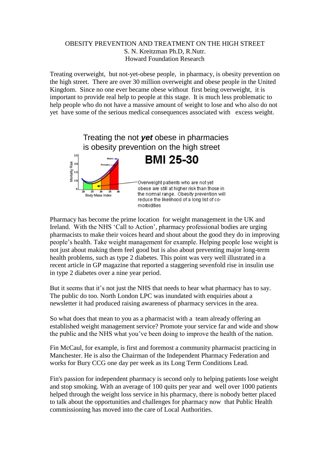## OBESITY PREVENTION AND TREATMENT ON THE HIGH STREET S. N. Kreitzman Ph.D, R.Nutr. Howard Foundation Research

Treating overweight, but not-yet-obese people, in pharmacy, is obesity prevention on the high street. There are over 30 million overweight and obese people in the United Kingdom. Since no one ever became obese without first being overweight, it is important to provide real help to people at this stage. It is much less problematic to help people who do not have a massive amount of weight to lose and who also do not yet have some of the serious medical consequences associated with excess weight.



Pharmacy has become the prime location for weight management in the UK and Ireland. With the NHS 'Call to Action', pharmacy professional bodies are urging pharmacists to make their voices heard and shout about the good they do in improving people's health. Take weight management for example. Helping people lose weight is not just about making them feel good but is also about preventing major long-term health problems, such as type 2 diabetes. This point was very well illustrated in a recent article in GP magazine that reported a staggering sevenfold rise in insulin use in type 2 diabetes over a nine year period.

But it seems that it's not just the NHS that needs to hear what pharmacy has to say. The public do too. North London LPC was inundated with enquiries about a newsletter it had produced raising awareness of pharmacy services in the area.

So what does that mean to you as a pharmacist with a team already offering an established weight management service? Promote your service far and wide and show the public and the NHS what you've been doing to improve the health of the nation.

Fin McCaul, for example, is first and foremost a community pharmacist practicing in Manchester. He is also the Chairman of the Independent Pharmacy Federation and works for Bury CCG one day per week as its Long Term Conditions Lead.

Fin's passion for independent pharmacy is second only to helping patients lose weight and stop smoking. With an average of 100 quits per year and well over 1000 patients helped through the weight loss service in his pharmacy, there is nobody better placed to talk about the opportunities and challenges for pharmacy now that Public Health commissioning has moved into the care of Local Authorities.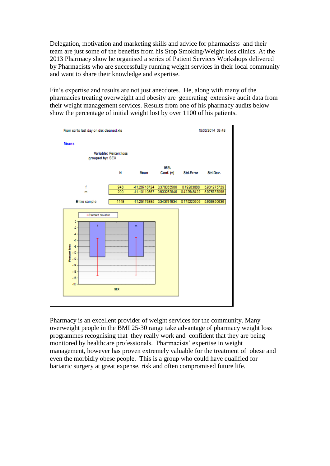Delegation, motivation and marketing skills and advice for pharmacists and their team are just some of the benefits from his Stop Smoking/Weight loss clinics. At the 2013 Pharmacy show he organised a series of Patient Services Workshops delivered by Pharmacists who are successfully running weight services in their local community and want to share their knowledge and expertise.

Fin's expertise and results are not just anecdotes. He, along with many of the pharmacies treating overweight and obesity are generating extensive audit data from their weight management services. Results from one of his pharmacy audits below show the percentage of initial weight lost by over 1100 of his patients.



Pharmacy is an excellent provider of weight services for the community. Many overweight people in the BMI 25-30 range take advantage of pharmacy weight loss programmes recognising that they really work and confident that they are being monitored by healthcare professionals. Pharmacists' expertise in weight management, however has proven extremely valuable for the treatment of obese and even the morbidly obese people. This is a group who could have qualified for bariatric surgery at great expense, risk and often compromised future life.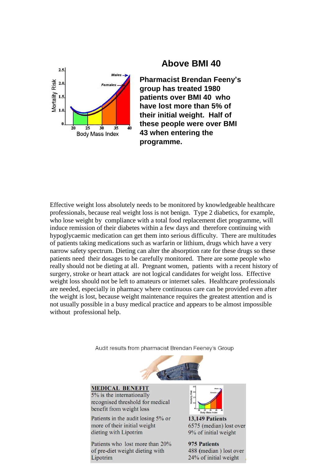

## **Above BMI 40**

**Pharmacist Brendan Feeny's group has treated 1980 patients over BMI 40 who have lost more than 5% of their initial weight. Half of these people were over BMI 43 when entering the programme.**

Effective weight loss absolutely needs to be monitored by knowledgeable healthcare professionals, because real weight loss is not benign. Type 2 diabetics, for example, who lose weight by compliance with a total food replacement diet programme, will induce remission of their diabetes within a few days and therefore continuing with hypoglycaemic medication can get them into serious difficulty. There are multitudes of patients taking medications such as warfarin or lithium, drugs which have a very narrow safety spectrum. Dieting can alter the absorption rate for these drugs so these patients need their dosages to be carefully monitored. There are some people who really should not be dieting at all. Pregnant women, patients with a recent history of surgery, stroke or heart attack are not logical candidates for weight loss. Effective weight loss should not be left to amateurs or internet sales. Healthcare professionals are needed, especially in pharmacy where continuous care can be provided even after the weight is lost, because weight maintenance requires the greatest attention and is not usually possible in a busy medical practice and appears to be almost impossible without professional help.

Audit results from pharmacist Brendan Feeney's Group



## **MEDICAL BENEFIT**

 $5\%$  is the internationally recognised threshold for medical benefit from weight loss

Patients in the audit losing 5% or more of their initial weight dieting with Lipotrim

Patients who lost more than 20% of pre-diet weight dieting with Lipotrim



13,149 Patients 6575 (median) lost over 9% of initial weight

975 Patients 488 (median) lost over 24% of initial weight